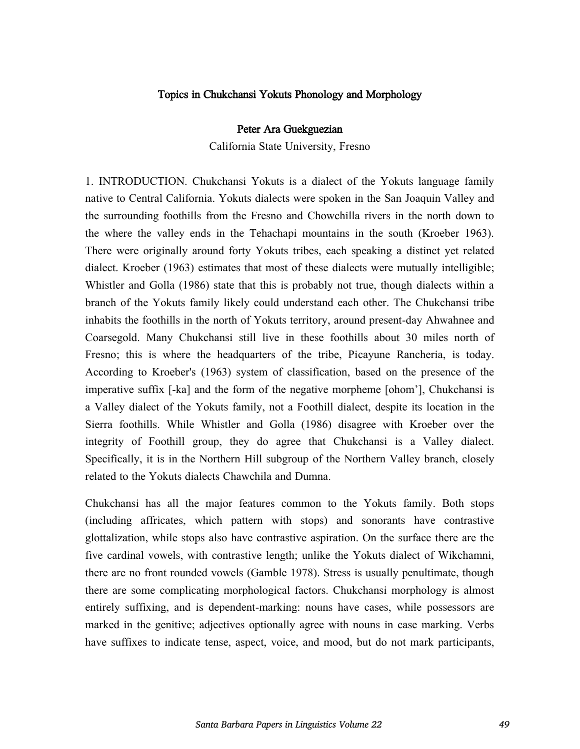## Topics in Chukchansi Yokuts Phonology and Morphology

## Peter Ara Guekguezian

California State University, Fresno

1. INTRODUCTION. Chukchansi Yokuts is a dialect of the Yokuts language family native to Central California. Yokuts dialects were spoken in the San Joaquin Valley and the surrounding foothills from the Fresno and Chowchilla rivers in the north down to the where the valley ends in the Tehachapi mountains in the south (Kroeber 1963). There were originally around forty Yokuts tribes, each speaking a distinct yet related dialect. Kroeber (1963) estimates that most of these dialects were mutually intelligible; Whistler and Golla (1986) state that this is probably not true, though dialects within a branch of the Yokuts family likely could understand each other. The Chukchansi tribe inhabits the foothills in the north of Yokuts territory, around present-day Ahwahnee and Coarsegold. Many Chukchansi still live in these foothills about 30 miles north of Fresno; this is where the headquarters of the tribe, Picayune Rancheria, is today. According to Kroeber's (1963) system of classification, based on the presence of the imperative suffix [-ka] and the form of the negative morpheme [ohom'], Chukchansi is a Valley dialect of the Yokuts family, not a Foothill dialect, despite its location in the Sierra foothills. While Whistler and Golla (1986) disagree with Kroeber over the integrity of Foothill group, they do agree that Chukchansi is a Valley dialect. Specifically, it is in the Northern Hill subgroup of the Northern Valley branch, closely related to the Yokuts dialects Chawchila and Dumna.

Chukchansi has all the major features common to the Yokuts family. Both stops (including affricates, which pattern with stops) and sonorants have contrastive glottalization, while stops also have contrastive aspiration. On the surface there are the five cardinal vowels, with contrastive length; unlike the Yokuts dialect of Wikchamni, there are no front rounded vowels (Gamble 1978). Stress is usually penultimate, though there are some complicating morphological factors. Chukchansi morphology is almost entirely suffixing, and is dependent-marking: nouns have cases, while possessors are marked in the genitive; adjectives optionally agree with nouns in case marking. Verbs have suffixes to indicate tense, aspect, voice, and mood, but do not mark participants,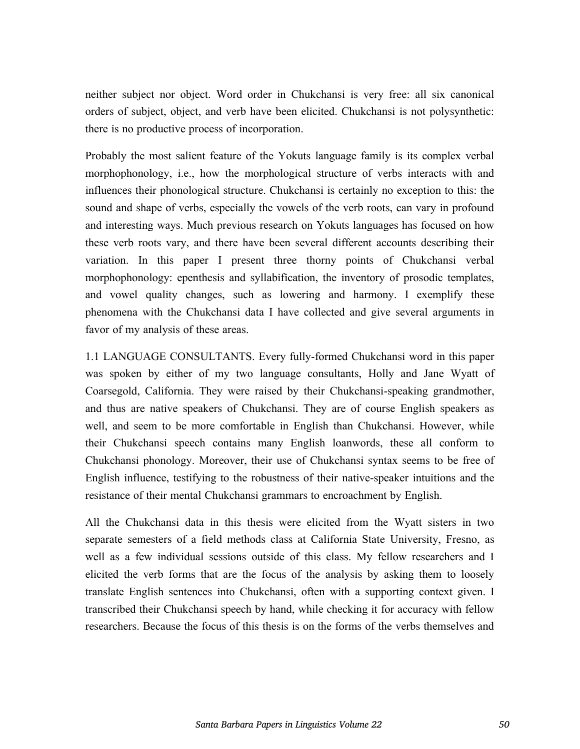neither subject nor object. Word order in Chukchansi is very free: all six canonical orders of subject, object, and verb have been elicited. Chukchansi is not polysynthetic: there is no productive process of incorporation.

Probably the most salient feature of the Yokuts language family is its complex verbal morphophonology, i.e., how the morphological structure of verbs interacts with and influences their phonological structure. Chukchansi is certainly no exception to this: the sound and shape of verbs, especially the vowels of the verb roots, can vary in profound and interesting ways. Much previous research on Yokuts languages has focused on how these verb roots vary, and there have been several different accounts describing their variation. In this paper I present three thorny points of Chukchansi verbal morphophonology: epenthesis and syllabification, the inventory of prosodic templates, and vowel quality changes, such as lowering and harmony. I exemplify these phenomena with the Chukchansi data I have collected and give several arguments in favor of my analysis of these areas.

1.1 LANGUAGE CONSULTANTS. Every fully-formed Chukchansi word in this paper was spoken by either of my two language consultants, Holly and Jane Wyatt of Coarsegold, California. They were raised by their Chukchansi-speaking grandmother, and thus are native speakers of Chukchansi. They are of course English speakers as well, and seem to be more comfortable in English than Chukchansi. However, while their Chukchansi speech contains many English loanwords, these all conform to Chukchansi phonology. Moreover, their use of Chukchansi syntax seems to be free of English influence, testifying to the robustness of their native-speaker intuitions and the resistance of their mental Chukchansi grammars to encroachment by English.

All the Chukchansi data in this thesis were elicited from the Wyatt sisters in two separate semesters of a field methods class at California State University, Fresno, as well as a few individual sessions outside of this class. My fellow researchers and I elicited the verb forms that are the focus of the analysis by asking them to loosely translate English sentences into Chukchansi, often with a supporting context given. I transcribed their Chukchansi speech by hand, while checking it for accuracy with fellow researchers. Because the focus of this thesis is on the forms of the verbs themselves and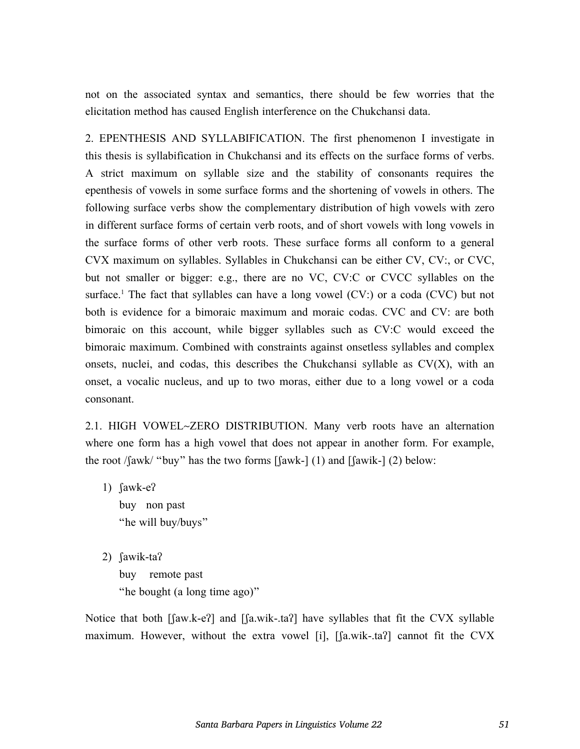not on the associated syntax and semantics, there should be few worries that the elicitation method has caused English interference on the Chukchansi data.

2. EPENTHESIS AND SYLLABIFICATION. The first phenomenon I investigate in this thesis is syllabification in Chukchansi and its effects on the surface forms of verbs. A strict maximum on syllable size and the stability of consonants requires the epenthesis of vowels in some surface forms and the shortening of vowels in others. The following surface verbs show the complementary distribution of high vowels with zero in different surface forms of certain verb roots, and of short vowels with long vowels in the surface forms of other verb roots. These surface forms all conform to a general CVX maximum on syllables. Syllables in Chukchansi can be either CV, CV:, or CVC, but not smaller or bigger: e.g., there are no VC, CV:C or CVCC syllables on the surface.<sup>1</sup> The fact that syllables can have a long vowel  $(CV)$  or a coda  $(CVC)$  but not both is evidence for a bimoraic maximum and moraic codas. CVC and CV: are both bimoraic on this account, while bigger syllables such as CV:C would exceed the bimoraic maximum. Combined with constraints against onsetless syllables and complex onsets, nuclei, and codas, this describes the Chukchansi syllable as  $CV(X)$ , with an onset, a vocalic nucleus, and up to two moras, either due to a long vowel or a coda consonant.

2.1. HIGH VOWEL~ZERO DISTRIBUTION. Many verb roots have an alternation where one form has a high vowel that does not appear in another form. For example, the root /fawk/ "buy" has the two forms  $\lceil \text{fawk-} \rceil$  (1) and  $\lceil \text{fawik-} \rceil$  (2) below:

- 1) ʃawk-eʔ buy non past "he will buy/buys"
- 2) ʃawik-taʔ buy remote past "he bought (a long time ago)"

Notice that both [faw.k-e?] and [fa.wik-.ta?] have syllables that fit the CVX syllable maximum. However, without the extra vowel [i], [ʃa.wik-.taʔ] cannot fit the CVX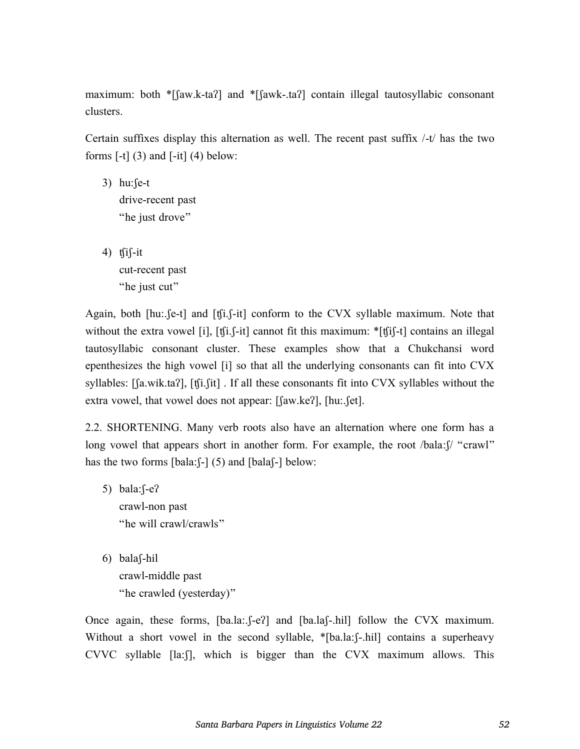maximum: both \*[faw.k-taʔ] and \*[fawk-.taʔ] contain illegal tautosyllabic consonant clusters.

Certain suffixes display this alternation as well. The recent past suffix /-t/ has the two forms  $[-t]$  (3) and  $[-it]$  (4) below:

- 3) hu:ʃe-t drive-recent past "he just drove"
- 4)  $tfif-it$ cut-recent past "he just cut"

Again, both [hu:.*fe-t]* and [tfi.*f-it]* conform to the CVX syllable maximum. Note that without the extra vowel [i], [tʃi.f-it] cannot fit this maximum: \*[tfi]-t] contains an illegal tautosyllabic consonant cluster. These examples show that a Chukchansi word epenthesizes the high vowel [i] so that all the underlying consonants can fit into CVX syllables: [ʃa.wik.taʔ], [ʧi.ʃit] . If all these consonants fit into CVX syllables without the extra vowel, that vowel does not appear: [ʃaw.keʔ], [hu:.ʃet].

2.2. SHORTENING. Many verb roots also have an alternation where one form has a long vowel that appears short in another form. For example, the root /bala: $\int$  "crawl" has the two forms  $[bala:]-] (5)$  and  $[bala]$ - $]$  below:

- 5) bala:ʃ-eʔ crawl-non past "he will crawl/crawls"
- 6) balaʃ-hil crawl-middle past "he crawled (yesterday)"

Once again, these forms, [ba.la:. [-eʔ] and [ba.la[-.hil] follow the CVX maximum. Without a short vowel in the second syllable, \*[ba.la:f-.hil] contains a superheavy CVVC syllable [la:ʃ], which is bigger than the CVX maximum allows. This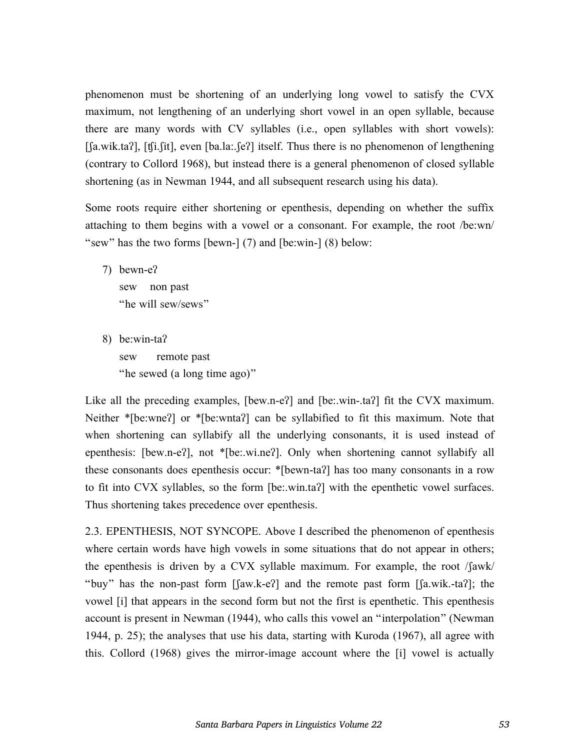phenomenon must be shortening of an underlying long vowel to satisfy the CVX maximum, not lengthening of an underlying short vowel in an open syllable, because there are many words with CV syllables (i.e., open syllables with short vowels): [ʃa.wik.taʔ], [ʧi.ʃit], even [ba.la:.ʃeʔ] itself. Thus there is no phenomenon of lengthening (contrary to Collord 1968), but instead there is a general phenomenon of closed syllable shortening (as in Newman 1944, and all subsequent research using his data).

Some roots require either shortening or epenthesis, depending on whether the suffix attaching to them begins with a vowel or a consonant. For example, the root /be:wn/ "sew" has the two forms [bewn-] (7) and [be:win-] (8) below:

- 7) bewn-eʔ sew non past "he will sew/sews"
- 8) be:win-taʔ sew remote past "he sewed (a long time ago)"

Like all the preceding examples, [bew.n-e?] and [be:.win-.ta?] fit the CVX maximum. Neither \*[be:wne?] or \*[be:wnta?] can be syllabified to fit this maximum. Note that when shortening can syllabify all the underlying consonants, it is used instead of epenthesis: [bew.n-eʔ], not \*[be:.wi.neʔ]. Only when shortening cannot syllabify all these consonants does epenthesis occur: \*[bewn-taʔ] has too many consonants in a row to fit into CVX syllables, so the form [be:.win.taʔ] with the epenthetic vowel surfaces. Thus shortening takes precedence over epenthesis.

2.3. EPENTHESIS, NOT SYNCOPE. Above I described the phenomenon of epenthesis where certain words have high vowels in some situations that do not appear in others; the epenthesis is driven by a CVX syllable maximum. For example, the root /ʃawk/ "buy" has the non-past form [ʃaw.k-eʔ] and the remote past form [ʃa.wik.-taʔ]; the vowel [i] that appears in the second form but not the first is epenthetic. This epenthesis account is present in Newman (1944), who calls this vowel an "interpolation" (Newman 1944, p. 25); the analyses that use his data, starting with Kuroda (1967), all agree with this. Collord (1968) gives the mirror-image account where the [i] vowel is actually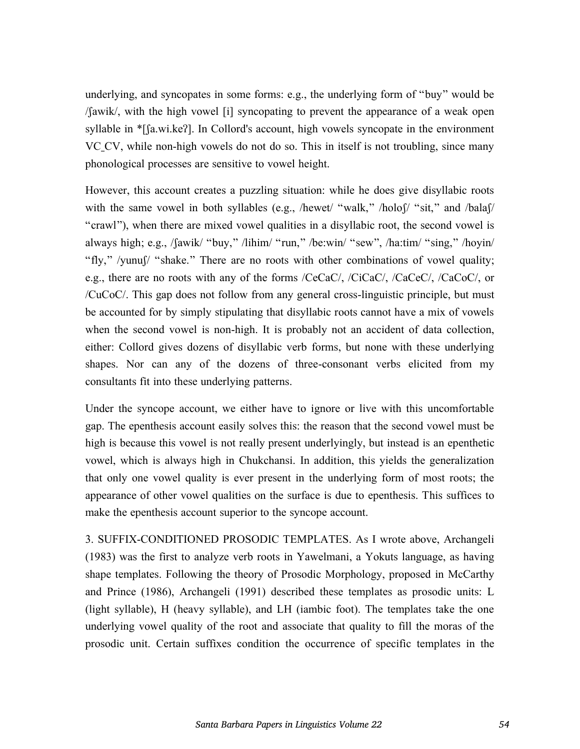underlying, and syncopates in some forms: e.g., the underlying form of "buy" would be /ʃawik/, with the high vowel [i] syncopating to prevent the appearance of a weak open syllable in \*[ʃa.wi.keʔ]. In Collord's account, high vowels syncopate in the environment VC CV, while non-high vowels do not do so. This in itself is not troubling, since many phonological processes are sensitive to vowel height.

However, this account creates a puzzling situation: while he does give disyllabic roots with the same vowel in both syllables (e.g., /hewet/ "walk," /holof/ "sit," and /balaf/ "crawl"), when there are mixed vowel qualities in a disyllabic root, the second vowel is always high; e.g., /ʃawik/ "buy," /lihim/ "run," /be:win/ "sew", /ha:tim/ "sing," /hoyin/ "fly," /yunuʃ/ "shake." There are no roots with other combinations of vowel quality; e.g., there are no roots with any of the forms /CeCaC/, /CiCaC/, /CaCeC/, /CaCoC/, or /CuCoC/. This gap does not follow from any general cross-linguistic principle, but must be accounted for by simply stipulating that disyllabic roots cannot have a mix of vowels when the second vowel is non-high. It is probably not an accident of data collection, either: Collord gives dozens of disyllabic verb forms, but none with these underlying shapes. Nor can any of the dozens of three-consonant verbs elicited from my consultants fit into these underlying patterns.

Under the syncope account, we either have to ignore or live with this uncomfortable gap. The epenthesis account easily solves this: the reason that the second vowel must be high is because this vowel is not really present underlyingly, but instead is an epenthetic vowel, which is always high in Chukchansi. In addition, this yields the generalization that only one vowel quality is ever present in the underlying form of most roots; the appearance of other vowel qualities on the surface is due to epenthesis. This suffices to make the epenthesis account superior to the syncope account.

3. SUFFIX-CONDITIONED PROSODIC TEMPLATES. As I wrote above, Archangeli (1983) was the first to analyze verb roots in Yawelmani, a Yokuts language, as having shape templates. Following the theory of Prosodic Morphology, proposed in McCarthy and Prince (1986), Archangeli (1991) described these templates as prosodic units: L (light syllable), H (heavy syllable), and LH (iambic foot). The templates take the one underlying vowel quality of the root and associate that quality to fill the moras of the prosodic unit. Certain suffixes condition the occurrence of specific templates in the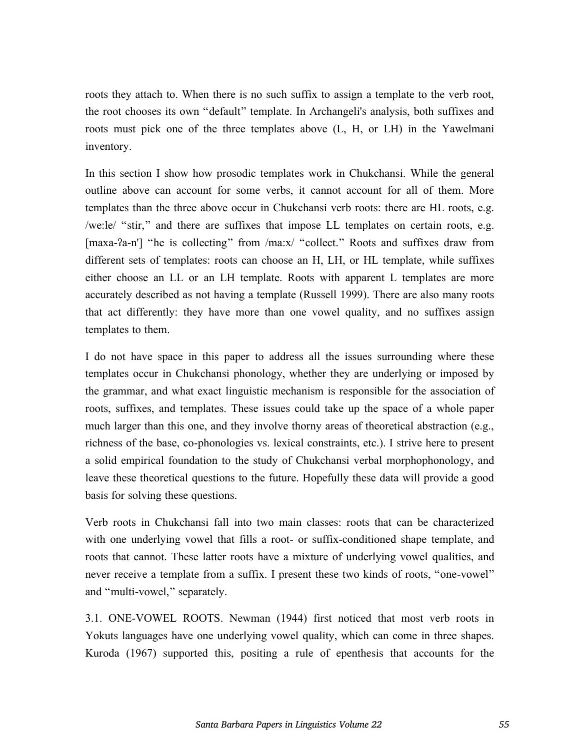roots they attach to. When there is no such suffix to assign a template to the verb root, the root chooses its own "default" template. In Archangeli's analysis, both suffixes and roots must pick one of the three templates above (L, H, or LH) in the Yawelmani inventory.

In this section I show how prosodic templates work in Chukchansi. While the general outline above can account for some verbs, it cannot account for all of them. More templates than the three above occur in Chukchansi verb roots: there are HL roots, e.g. /we:le/ "stir," and there are suffixes that impose LL templates on certain roots, e.g. [maxa-ʔa-n'] "he is collecting" from /ma:x/ "collect." Roots and suffixes draw from different sets of templates: roots can choose an H, LH, or HL template, while suffixes either choose an LL or an LH template. Roots with apparent L templates are more accurately described as not having a template (Russell 1999). There are also many roots that act differently: they have more than one vowel quality, and no suffixes assign templates to them.

I do not have space in this paper to address all the issues surrounding where these templates occur in Chukchansi phonology, whether they are underlying or imposed by the grammar, and what exact linguistic mechanism is responsible for the association of roots, suffixes, and templates. These issues could take up the space of a whole paper much larger than this one, and they involve thorny areas of theoretical abstraction (e.g., richness of the base, co-phonologies vs. lexical constraints, etc.). I strive here to present a solid empirical foundation to the study of Chukchansi verbal morphophonology, and leave these theoretical questions to the future. Hopefully these data will provide a good basis for solving these questions.

Verb roots in Chukchansi fall into two main classes: roots that can be characterized with one underlying vowel that fills a root- or suffix-conditioned shape template, and roots that cannot. These latter roots have a mixture of underlying vowel qualities, and never receive a template from a suffix. I present these two kinds of roots, "one-vowel" and "multi-vowel," separately.

3.1. ONE-VOWEL ROOTS. Newman (1944) first noticed that most verb roots in Yokuts languages have one underlying vowel quality, which can come in three shapes. Kuroda (1967) supported this, positing a rule of epenthesis that accounts for the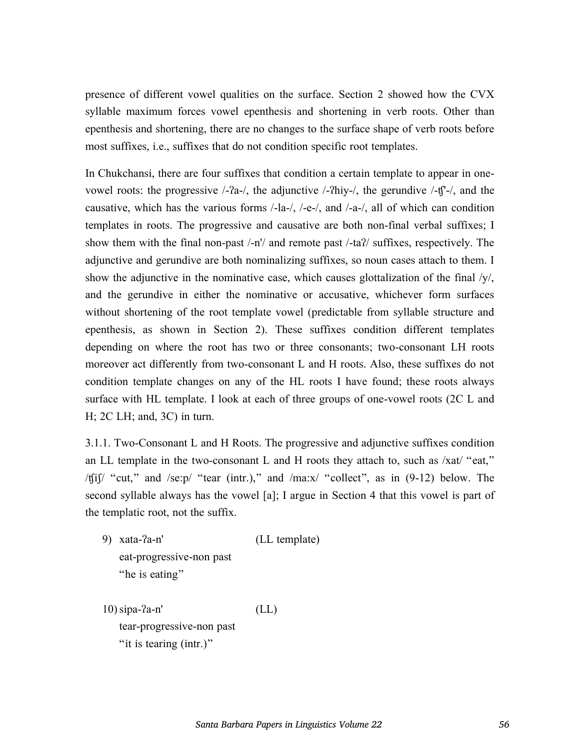presence of different vowel qualities on the surface. Section 2 showed how the CVX syllable maximum forces vowel epenthesis and shortening in verb roots. Other than epenthesis and shortening, there are no changes to the surface shape of verb roots before most suffixes, i.e., suffixes that do not condition specific root templates.

In Chukchansi, there are four suffixes that condition a certain template to appear in onevowel roots: the progressive /-ʔa-/, the adjunctive /-ʔhiy-/, the gerundive /-ʧ'-/, and the causative, which has the various forms /-la-/, /-e-/, and /-a-/, all of which can condition templates in roots. The progressive and causative are both non-final verbal suffixes; I show them with the final non-past /-n'/ and remote past /-taʔ/ suffixes, respectively. The adjunctive and gerundive are both nominalizing suffixes, so noun cases attach to them. I show the adjunctive in the nominative case, which causes glottalization of the final  $/y'$ , and the gerundive in either the nominative or accusative, whichever form surfaces without shortening of the root template vowel (predictable from syllable structure and epenthesis, as shown in Section 2). These suffixes condition different templates depending on where the root has two or three consonants; two-consonant LH roots moreover act differently from two-consonant L and H roots. Also, these suffixes do not condition template changes on any of the HL roots I have found; these roots always surface with HL template. I look at each of three groups of one-vowel roots (2C L and H; 2C LH; and, 3C) in turn.

3.1.1. Two-Consonant L and H Roots. The progressive and adjunctive suffixes condition an LL template in the two-consonant L and H roots they attach to, such as /xat/ "eat," /ʧiʃ/ "cut," and /se:p/ "tear (intr.)," and /ma:x/ "collect", as in (9-12) below. The second syllable always has the vowel [a]; I argue in Section 4 that this vowel is part of the templatic root, not the suffix.

9) xata-ʔa-n' (LL template) eat-progressive-non past "he is eating"

10)sipa-ʔa-n' (LL) tear-progressive-non past "it is tearing (intr.)"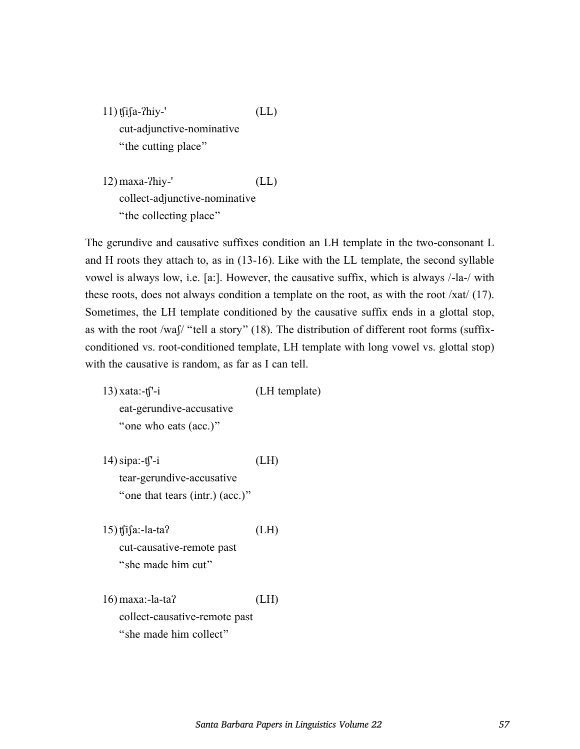11) ʧiʃa-ʔhiy-' (LL) cut-adjunctive-nominative "the cutting place"

12) maxa-ʔhiy-' (LL) collect-adjunctive-nominative "the collecting place"

The gerundive and causative suffixes condition an LH template in the two-consonant L and H roots they attach to, as in (13-16). Like with the LL template, the second syllable vowel is always low, i.e. [a:]. However, the causative suffix, which is always /-la-/ with these roots, does not always condition a template on the root, as with the root /xat/ (17). Sometimes, the LH template conditioned by the causative suffix ends in a glottal stop, as with the root /waʃ/ "tell a story" (18). The distribution of different root forms (suffixconditioned vs. root-conditioned template, LH template with long vowel vs. glottal stop) with the causative is random, as far as I can tell.

13) xata:-ʧ'-i (LH template) eat-gerundive-accusative "one who eats (acc.)"

14)sipa:-ʧ'-i (LH) tear-gerundive-accusative "one that tears (intr.) (acc.)"

15) ʧiʃa:-la-taʔ (LH) cut-causative-remote past "she made him cut"

16) maxa:-la-taʔ (LH) collect-causative-remote past "she made him collect"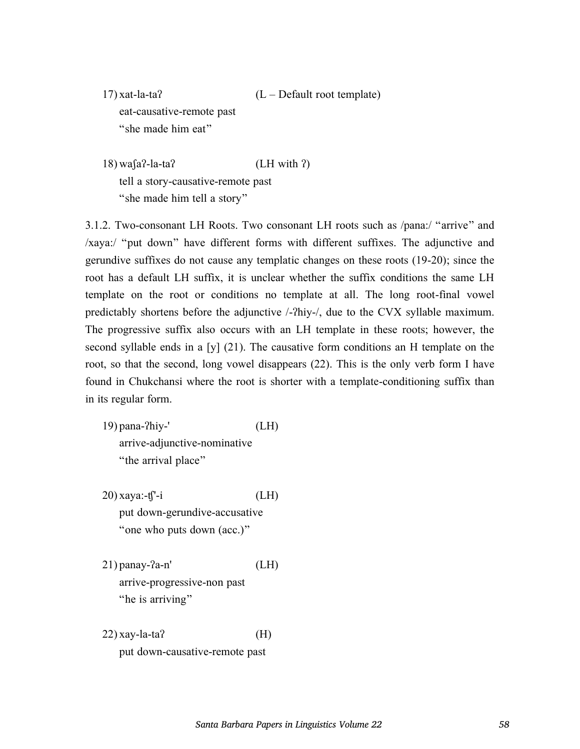- $17)$  xat-la-ta?  $(L Default root template)$ eat-causative-remote past "she made him eat"
- 18) waʃaʔ-la-taʔ (LH with ʔ) tell a story-causative-remote past "she made him tell a story"

3.1.2. Two-consonant LH Roots. Two consonant LH roots such as /pana:/ "arrive" and /xaya:/ "put down" have different forms with different suffixes. The adjunctive and gerundive suffixes do not cause any templatic changes on these roots (19-20); since the root has a default LH suffix, it is unclear whether the suffix conditions the same LH template on the root or conditions no template at all. The long root-final vowel predictably shortens before the adjunctive /-ʔhiy-/, due to the CVX syllable maximum. The progressive suffix also occurs with an LH template in these roots; however, the second syllable ends in a [y]  $(21)$ . The causative form conditions an H template on the root, so that the second, long vowel disappears (22). This is the only verb form I have found in Chukchansi where the root is shorter with a template-conditioning suffix than in its regular form.

19) pana-ʔhiy-' (LH) arrive-adjunctive-nominative "the arrival place"

 $20)$  xaya:-t<sup> $\uparrow$ -i (LH)</sup> put down-gerundive-accusative "one who puts down (acc.)"

 $21)$  panay- $?a-n'$  (LH) arrive-progressive-non past "he is arriving"

 $22)$  xay-la-ta? (H) put down-causative-remote past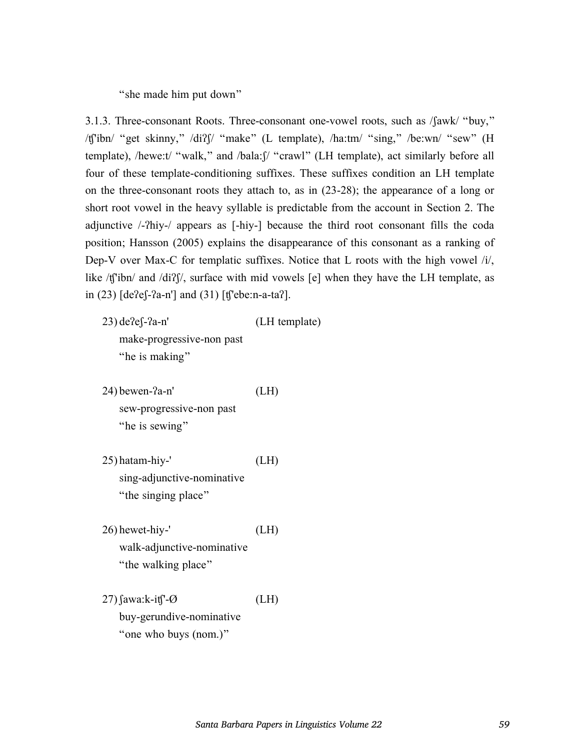"she made him put down"

3.1.3. Three-consonant Roots. Three-consonant one-vowel roots, such as /ʃawk/ "buy," /ʧ'ibn/ "get skinny," /diʔʃ/ "make" (L template), /ha:tm/ "sing," /be:wn/ "sew" (H template), /hewe:t/ "walk," and /bala:ʃ/ "crawl" (LH template), act similarly before all four of these template-conditioning suffixes. These suffixes condition an LH template on the three-consonant roots they attach to, as in (23-28); the appearance of a long or short root vowel in the heavy syllable is predictable from the account in Section 2. The adjunctive /-ʔhiy-/ appears as [-hiy-] because the third root consonant fills the coda position; Hansson (2005) explains the disappearance of this consonant as a ranking of Dep-V over Max-C for templatic suffixes. Notice that L roots with the high vowel /i/, like /t['ibn/ and /di?]/, surface with mid vowels [e] when they have the LH template, as in (23) [deʔeʃ-ʔa-n'] and (31) [ʧ'ebe:n-a-taʔ].

- 23) deʔeʃ-ʔa-n' (LH template) make-progressive-non past "he is making"
- $24)$  bewen- $2a-n'$  (LH) sew-progressive-non past "he is sewing"
- 25) hatam-hiy-' (LH) sing-adjunctive-nominative "the singing place"
- 26) hewet-hiy-' (LH) walk-adjunctive-nominative "the walking place"
- $27)$  fawa:k-it  $\degree$ -Ø (LH) buy-gerundive-nominative "one who buys (nom.)"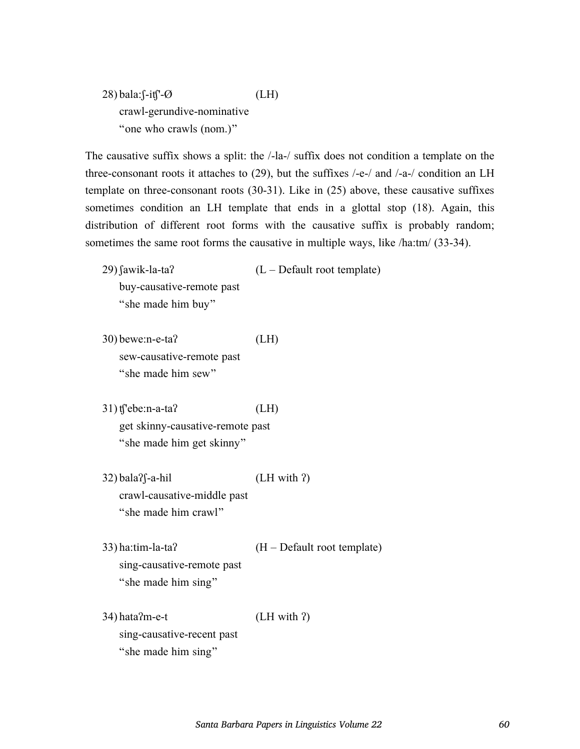$28)$  bala:  $\int$ -it $\int$ <sup>-</sup>- $\varnothing$  (LH) crawl-gerundive-nominative "one who crawls (nom.)"

The causative suffix shows a split: the /-la-/ suffix does not condition a template on the three-consonant roots it attaches to (29), but the suffixes /-e-/ and /-a-/ condition an LH template on three-consonant roots (30-31). Like in (25) above, these causative suffixes sometimes condition an LH template that ends in a glottal stop (18). Again, this distribution of different root forms with the causative suffix is probably random; sometimes the same root forms the causative in multiple ways, like /ha:tm/ (33-34).

- $(29)$  fawik-la-ta?  $(L Default root template)$ buy-causative-remote past "she made him buy"
- 30) bewe:n-e-taʔ (LH) sew-causative-remote past "she made him sew"
- 31) ʧ'ebe:n-a-taʔ (LH) get skinny-causative-remote past "she made him get skinny"
- $32)$  bala? $\int -a-hi$  (LH with ?) crawl-causative-middle past "she made him crawl"
- 33) ha:tim-la-taʔ (H Default root template) sing-causative-remote past "she made him sing"
- $34)$  hata $?m-e-t$  (LH with  $?$ ) sing-causative-recent past "she made him sing"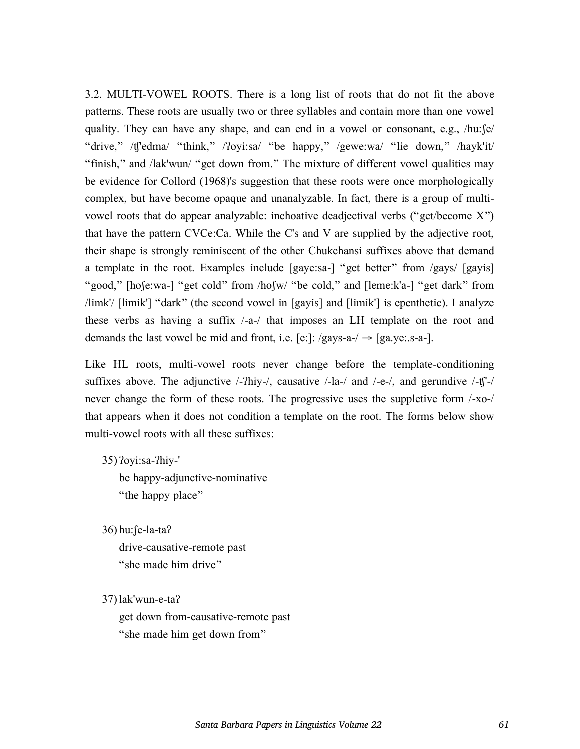3.2. MULTI-VOWEL ROOTS. There is a long list of roots that do not fit the above patterns. These roots are usually two or three syllables and contain more than one vowel quality. They can have any shape, and can end in a vowel or consonant, e.g.,  $/hu:$   $\int e^{u}$ "drive," /ʧ'edma/ "think," /ʔoyi:sa/ "be happy," /gewe:wa/ "lie down," /hayk'it/ "finish," and /lak'wun/ "get down from." The mixture of different vowel qualities may be evidence for Collord (1968)'s suggestion that these roots were once morphologically complex, but have become opaque and unanalyzable. In fact, there is a group of multivowel roots that do appear analyzable: inchoative deadjectival verbs ("get/become X") that have the pattern CVCe:Ca. While the C's and V are supplied by the adjective root, their shape is strongly reminiscent of the other Chukchansi suffixes above that demand a template in the root. Examples include [gaye:sa-] "get better" from /gays/ [gayis] "good," [hoʃe:wa-] "get cold" from /hoʃw/ "be cold," and [leme:k'a-] "get dark" from /limk'/ [limik'] "dark" (the second vowel in [gayis] and [limik'] is epenthetic). I analyze these verbs as having a suffix /-a-/ that imposes an LH template on the root and demands the last vowel be mid and front, i.e. [e:]:  $/gays-a-/-$  [ga.ye:.s-a-].

Like HL roots, multi-vowel roots never change before the template-conditioning suffixes above. The adjunctive  $\frac{\lambda}{2}$ hiy- $\lambda$ , causative  $\lambda$ -la- $\lambda$  and  $\lambda$ -e- $\lambda$ , and gerundive  $\lambda$ -t $\lambda$ - $\lambda$ never change the form of these roots. The progressive uses the suppletive form /-xo-/ that appears when it does not condition a template on the root. The forms below show multi-vowel roots with all these suffixes:

35) ʔoyi:sa-ʔhiy-'

be happy-adjunctive-nominative "the happy place"

36) hu:ʃe-la-taʔ drive-causative-remote past "she made him drive"

37) lak'wun-e-taʔ

get down from-causative-remote past "she made him get down from"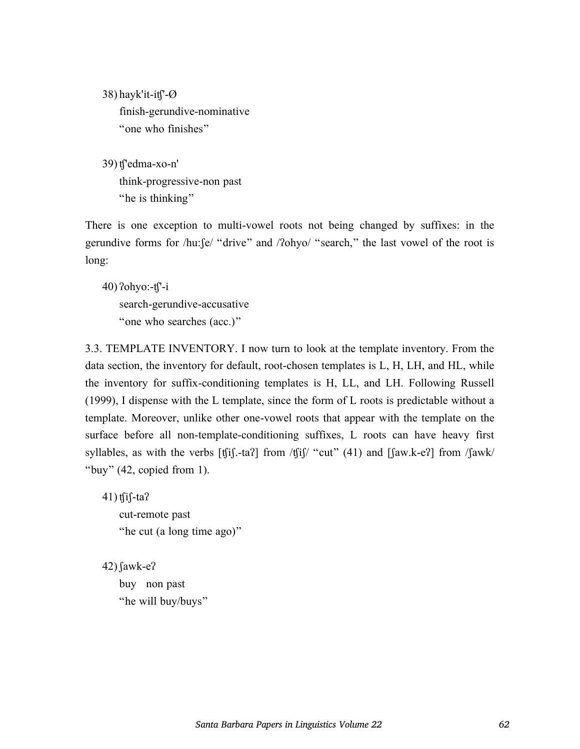38) hayk'it-iʧ'-Ø finish-gerundive-nominative "one who finishes"

39) ʧ'edma-xo-n' think-progressive-non past "he is thinking"

There is one exception to multi-vowel roots not being changed by suffixes: in the gerundive forms for /hu:ʃe/ "drive" and /ʔohyo/ "search," the last vowel of the root is long:

 $40)$   $2$ ohyo:- $t$  $i$ '-i search-gerundive-accusative "one who searches (acc.)"

3.3. TEMPLATE INVENTORY. I now turn to look at the template inventory. From the data section, the inventory for default, root-chosen templates is L, H, LH, and HL, while the inventory for suffix-conditioning templates is H, LL, and LH. Following Russell (1999), I dispense with the L template, since the form of L roots is predictable without a template. Moreover, unlike other one-vowel roots that appear with the template on the surface before all non-template-conditioning suffixes, L roots can have heavy first syllables, as with the verbs  $[f_1^j]$ .-ta? from / $f_1^j$  ( $f'_2^j$  and  $[f_3^j]$  and  $[f_4^j]$  from / $f_4^j$ "buy" (42, copied from 1).

41) ʧiʃ-taʔ cut-remote past "he cut (a long time ago)"

 $42)$  fawk-e? buy non past "he will buy/buys"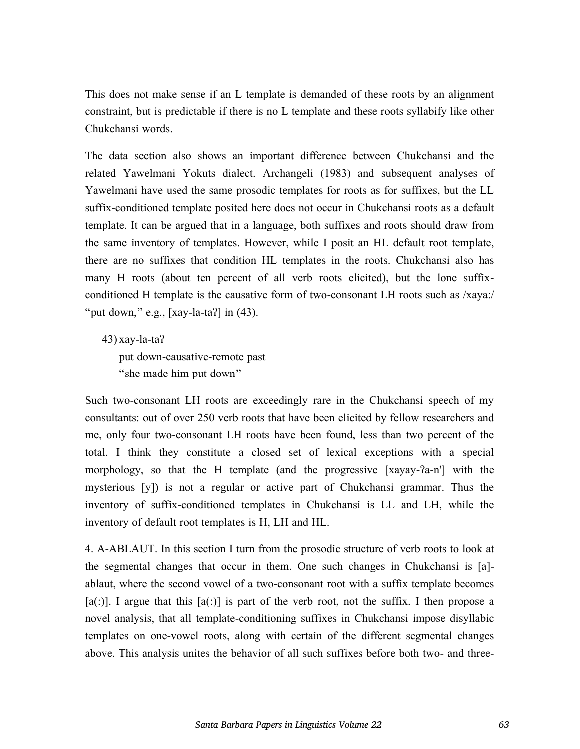This does not make sense if an L template is demanded of these roots by an alignment constraint, but is predictable if there is no L template and these roots syllabify like other Chukchansi words.

The data section also shows an important difference between Chukchansi and the related Yawelmani Yokuts dialect. Archangeli (1983) and subsequent analyses of Yawelmani have used the same prosodic templates for roots as for suffixes, but the LL suffix-conditioned template posited here does not occur in Chukchansi roots as a default template. It can be argued that in a language, both suffixes and roots should draw from the same inventory of templates. However, while I posit an HL default root template, there are no suffixes that condition HL templates in the roots. Chukchansi also has many H roots (about ten percent of all verb roots elicited), but the lone suffixconditioned H template is the causative form of two-consonant LH roots such as /xaya:/ "put down," e.g.,  $[xay-la-ta']$  in  $(43)$ .

43) xay-la-taʔ put down-causative-remote past "she made him put down"

Such two-consonant LH roots are exceedingly rare in the Chukchansi speech of my consultants: out of over 250 verb roots that have been elicited by fellow researchers and me, only four two-consonant LH roots have been found, less than two percent of the total. I think they constitute a closed set of lexical exceptions with a special morphology, so that the H template (and the progressive [xayay-ʔa-n'] with the mysterious [y]) is not a regular or active part of Chukchansi grammar. Thus the inventory of suffix-conditioned templates in Chukchansi is LL and LH, while the inventory of default root templates is H, LH and HL.

4. A-ABLAUT. In this section I turn from the prosodic structure of verb roots to look at the segmental changes that occur in them. One such changes in Chukchansi is [a] ablaut, where the second vowel of a two-consonant root with a suffix template becomes  $[a(.)]$ . I argue that this  $[a(.)]$  is part of the verb root, not the suffix. I then propose a novel analysis, that all template-conditioning suffixes in Chukchansi impose disyllabic templates on one-vowel roots, along with certain of the different segmental changes above. This analysis unites the behavior of all such suffixes before both two- and three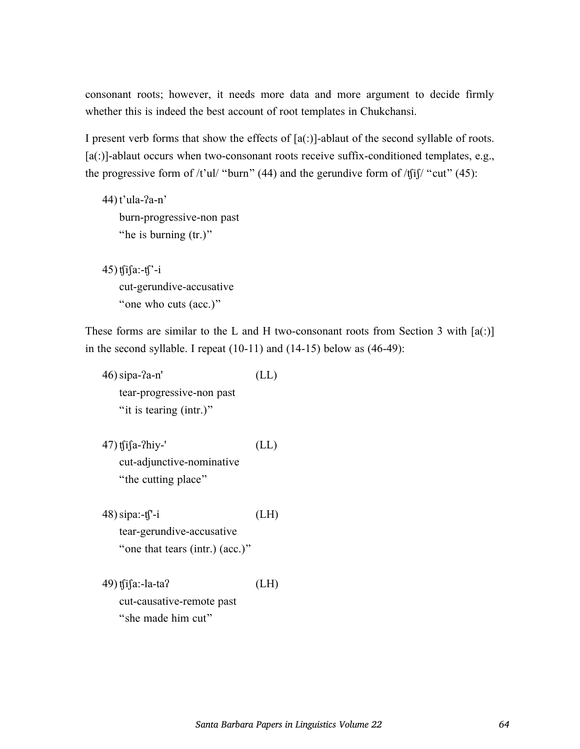consonant roots; however, it needs more data and more argument to decide firmly whether this is indeed the best account of root templates in Chukchansi.

I present verb forms that show the effects of  $[a(.)]$ -ablaut of the second syllable of roots. [a(:)]-ablaut occurs when two-consonant roots receive suffix-conditioned templates, e.g., the progressive form of  $/t'$ ul/ "burn" (44) and the gerundive form of  $/t[i]$ " cut" (45):

- 44) t'ula-ʔa-n' burn-progressive-non past "he is burning (tr.)"
- 45)  $t \int a(-t) dt$ cut-gerundive-accusative "one who cuts (acc.)"

These forms are similar to the L and H two-consonant roots from Section 3 with  $[a(.)]$ in the second syllable. I repeat  $(10-11)$  and  $(14-15)$  below as  $(46-49)$ :

46)sipa-ʔa-n' (LL) tear-progressive-non past "it is tearing (intr.)"  $47)$  t $f$ i $f$ a-?hiy-' (LL) cut-adjunctive-nominative "the cutting place" 48)sipa:-ʧ'-i (LH) tear-gerundive-accusative "one that tears (intr.) (acc.)" 49) ʧiʃa:-la-taʔ (LH) cut-causative-remote past

"she made him cut"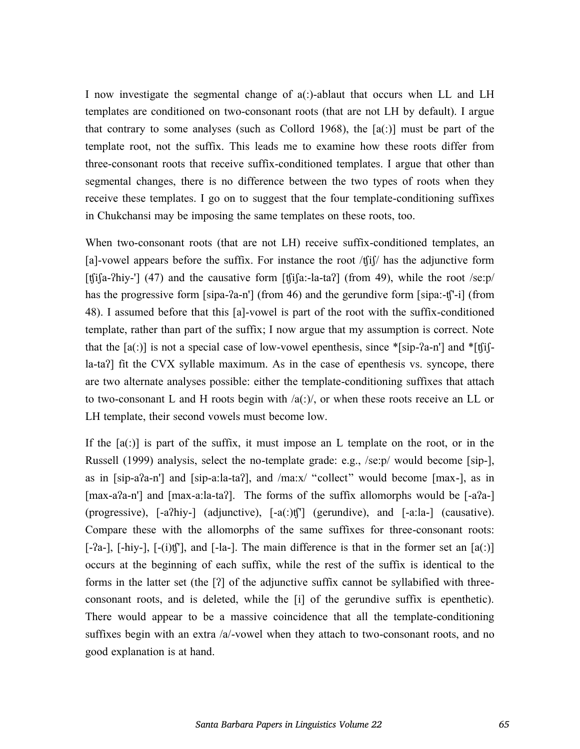I now investigate the segmental change of  $a(.)$ -ablaut that occurs when LL and LH templates are conditioned on two-consonant roots (that are not LH by default). I argue that contrary to some analyses (such as Collord 1968), the  $[a(.)]$  must be part of the template root, not the suffix. This leads me to examine how these roots differ from three-consonant roots that receive suffix-conditioned templates. I argue that other than segmental changes, there is no difference between the two types of roots when they receive these templates. I go on to suggest that the four template-conditioning suffixes in Chukchansi may be imposing the same templates on these roots, too.

When two-consonant roots (that are not LH) receive suffix-conditioned templates, an [a]-vowel appears before the suffix. For instance the root  $/\text{f}$ if has the adjunctive form [t[i[a-?hiy-'] (47) and the causative form [t[i[a:-la-ta?] (from 49), while the root /se:p/ has the progressive form [sipa-ʔa-n'] (from 46) and the gerundive form [sipa:-tʃ'-i] (from 48). I assumed before that this [a]-vowel is part of the root with the suffix-conditioned template, rather than part of the suffix; I now argue that my assumption is correct. Note that the  $[a(.)]$  is not a special case of low-vowel epenthesis, since  $*[sip-2a-n']$  and  $*[f]$ la-taʔ] fit the CVX syllable maximum. As in the case of epenthesis vs. syncope, there are two alternate analyses possible: either the template-conditioning suffixes that attach to two-consonant L and H roots begin with  $\alpha($ : $)/$ , or when these roots receive an LL or LH template, their second vowels must become low.

If the  $[a(.)]$  is part of the suffix, it must impose an L template on the root, or in the Russell (1999) analysis, select the no-template grade: e.g., /se:p/ would become [sip-], as in [sip-aʔa-n'] and [sip-a:la-taʔ], and /ma:x/ "collect" would become [max-], as in [max-aʔa-n'] and [max-a:la-taʔ]. The forms of the suffix allomorphs would be [-aʔa-] (progressive), [-aʔhiy-] (adjunctive), [-a(:)ʧ'] (gerundive), and [-a:la-] (causative). Compare these with the allomorphs of the same suffixes for three-consonant roots:  $[-a-]$ ,  $[-hiy-]$ ,  $[-(i)t]$ , and  $[-la-]$ . The main difference is that in the former set an  $[a(.)]$ occurs at the beginning of each suffix, while the rest of the suffix is identical to the forms in the latter set (the [ʔ] of the adjunctive suffix cannot be syllabified with threeconsonant roots, and is deleted, while the [i] of the gerundive suffix is epenthetic). There would appear to be a massive coincidence that all the template-conditioning suffixes begin with an extra  $/a$ -vowel when they attach to two-consonant roots, and no good explanation is at hand.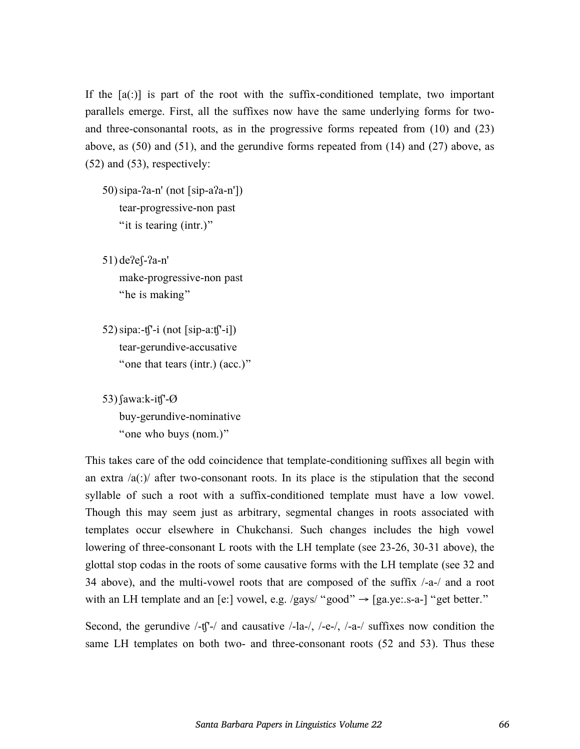If the  $[a(.)]$  is part of the root with the suffix-conditioned template, two important parallels emerge. First, all the suffixes now have the same underlying forms for twoand three-consonantal roots, as in the progressive forms repeated from (10) and (23) above, as (50) and (51), and the gerundive forms repeated from (14) and (27) above, as (52) and (53), respectively:

50)sipa-ʔa-n' (not [sip-aʔa-n']) tear-progressive-non past "it is tearing (intr.)"

51) deʔeʃ-ʔa-n' make-progressive-non past "he is making"

52) sipa:- $t\int -i$  (not [sip-a: $t\int -i$ ]) tear-gerundive-accusative "one that tears (intr.) (acc.)"

53)ʃawa:k-iʧ'-Ø buy-gerundive-nominative "one who buys (nom.)"

This takes care of the odd coincidence that template-conditioning suffixes all begin with an extra  $\alpha$ (:) after two-consonant roots. In its place is the stipulation that the second syllable of such a root with a suffix-conditioned template must have a low vowel. Though this may seem just as arbitrary, segmental changes in roots associated with templates occur elsewhere in Chukchansi. Such changes includes the high vowel lowering of three-consonant L roots with the LH template (see 23-26, 30-31 above), the glottal stop codas in the roots of some causative forms with the LH template (see 32 and 34 above), and the multi-vowel roots that are composed of the suffix /-a-/ and a root with an LH template and an [e:] vowel, e.g. /gays/ "good"  $\rightarrow$  [ga.ye:.s-a-] "get better."

Second, the gerundive  $\frac{1}{T}$  and causative  $\frac{1}{a}$ ,  $\frac{1}{c}$ ,  $\frac{1}{c}$ ,  $\frac{1}{a}$ ,  $\frac{1}{a}$  suffixes now condition the same LH templates on both two- and three-consonant roots (52 and 53). Thus these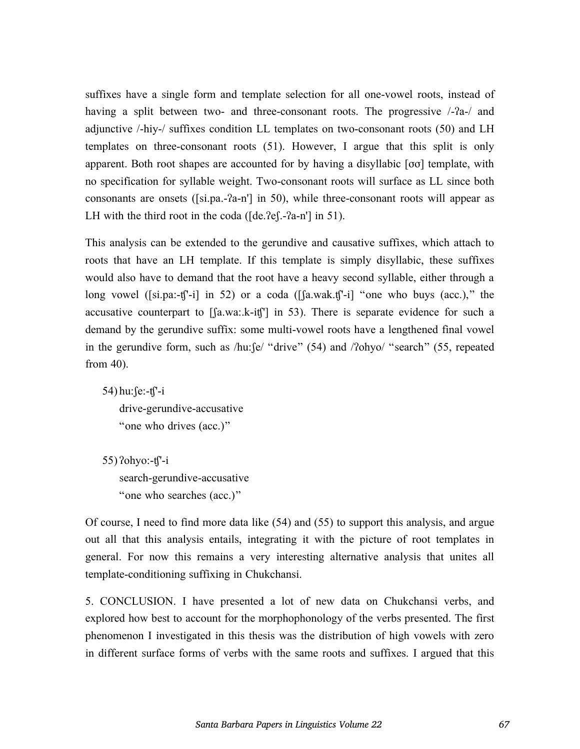suffixes have a single form and template selection for all one-vowel roots, instead of having a split between two- and three-consonant roots. The progressive  $\frac{1}{2}$ and adjunctive /-hiy-/ suffixes condition LL templates on two-consonant roots (50) and LH templates on three-consonant roots (51). However, I argue that this split is only apparent. Both root shapes are accounted for by having a disyllabic [σσ] template, with no specification for syllable weight. Two-consonant roots will surface as LL since both consonants are onsets ([si.pa.-ʔa-n'] in 50), while three-consonant roots will appear as LH with the third root in the coda ([de.*?e*[.-*?a-n'*] in 51).

This analysis can be extended to the gerundive and causative suffixes, which attach to roots that have an LH template. If this template is simply disyllabic, these suffixes would also have to demand that the root have a heavy second syllable, either through a long vowel ([si.pa:-ʧ'-i] in 52) or a coda ([ʃa.wak.ʧ'-i] "one who buys (acc.)," the accusative counterpart to [ʃa.wa:.k-iʧ'] in 53). There is separate evidence for such a demand by the gerundive suffix: some multi-vowel roots have a lengthened final vowel in the gerundive form, such as /hu:ʃe/ "drive" (54) and /ʔohyo/ "search" (55, repeated from 40).

54) hu:ʃe:-ʧ'-i drive-gerundive-accusative "one who drives (acc.)"

55) ʔohyo:-ʧ'-i search-gerundive-accusative "one who searches (acc.)"

Of course, I need to find more data like (54) and (55) to support this analysis, and argue out all that this analysis entails, integrating it with the picture of root templates in general. For now this remains a very interesting alternative analysis that unites all template-conditioning suffixing in Chukchansi.

5. CONCLUSION. I have presented a lot of new data on Chukchansi verbs, and explored how best to account for the morphophonology of the verbs presented. The first phenomenon I investigated in this thesis was the distribution of high vowels with zero in different surface forms of verbs with the same roots and suffixes. I argued that this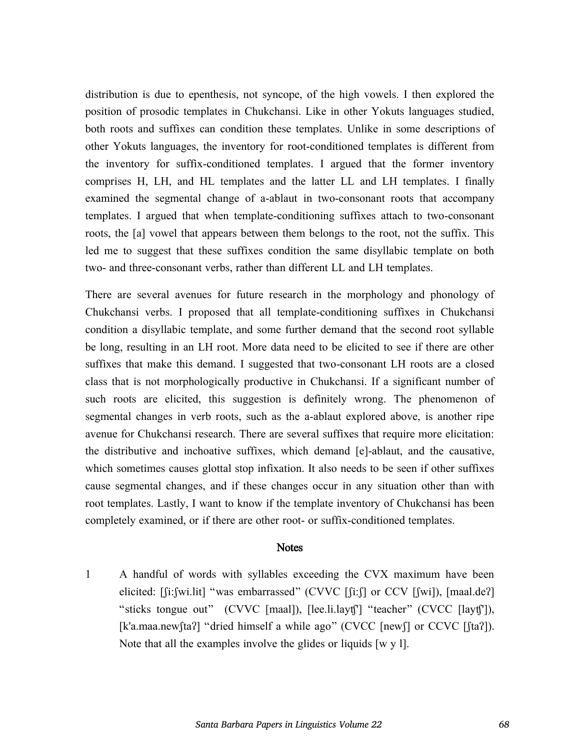distribution is due to epenthesis, not syncope, of the high vowels. I then explored the position of prosodic templates in Chukchansi. Like in other Yokuts languages studied, both roots and suffixes can condition these templates. Unlike in some descriptions of other Yokuts languages, the inventory for root-conditioned templates is different from the inventory for suffix-conditioned templates. I argued that the former inventory comprises H, LH, and HL templates and the latter LL and LH templates. I finally examined the segmental change of a-ablaut in two-consonant roots that accompany templates. I argued that when template-conditioning suffixes attach to two-consonant roots, the [a] vowel that appears between them belongs to the root, not the suffix. This led me to suggest that these suffixes condition the same disyllabic template on both two- and three-consonant verbs, rather than different LL and LH templates.

There are several avenues for future research in the morphology and phonology of Chukchansi verbs. I proposed that all template-conditioning suffixes in Chukchansi condition a disyllabic template, and some further demand that the second root syllable be long, resulting in an LH root. More data need to be elicited to see if there are other suffixes that make this demand. I suggested that two-consonant LH roots are a closed class that is not morphologically productive in Chukchansi. If a significant number of such roots are elicited, this suggestion is definitely wrong. The phenomenon of segmental changes in verb roots, such as the a-ablaut explored above, is another ripe avenue for Chukchansi research. There are several suffixes that require more elicitation: the distributive and inchoative suffixes, which demand [e]-ablaut, and the causative, which sometimes causes glottal stop infixation. It also needs to be seen if other suffixes cause segmental changes, and if these changes occur in any situation other than with root templates. Lastly, I want to know if the template inventory of Chukchansi has been completely examined, or if there are other root- or suffix-conditioned templates.

## **Notes**

1 A handful of words with syllables exceeding the CVX maximum have been elicited: [fi:fwi.lit] "was embarrassed" (CVVC [fi:f] or CCV [fwi]), [maal.de?] "sticks tongue out" (CVVC [maal]), [lee.li.layʧ'] "teacher" (CVCC [layʧ']), [k'a.maa.new[taʔ] "dried himself a while ago" (CVCC [new]] or CCVC [[taʔ]). Note that all the examples involve the glides or liquids [w y l].